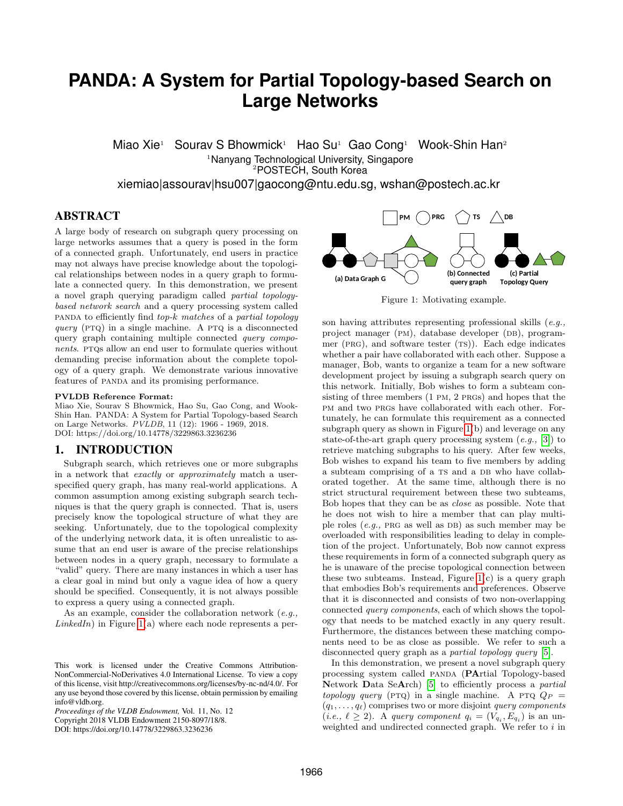# **PANDA: A System for Partial Topology-based Search on Large Networks**

Miao Xie<sup>1</sup> Sourav S Bhowmick<sup>1</sup> Hao Su<sup>1</sup> Gao Cong<sup>1</sup> Wook-Shin Han<sup>2</sup> <sup>1</sup>Nanyang Technological University, Singapore <sup>2</sup>POSTECH, South Korea

xiemiao|assourav|hsu007|gaocong@ntu.edu.sg, wshan@postech.ac.kr

## ABSTRACT

A large body of research on subgraph query processing on large networks assumes that a query is posed in the form of a connected graph. Unfortunately, end users in practice may not always have precise knowledge about the topological relationships between nodes in a query graph to formulate a connected query. In this demonstration, we present a novel graph querying paradigm called partial topologybased network search and a query processing system called PANDA to efficiently find  $top-k$  matches of a partial topology query ( $PTQ$ ) in a single machine. A PTQ is a disconnected query graph containing multiple connected query components. PTQs allow an end user to formulate queries without demanding precise information about the complete topology of a query graph. We demonstrate various innovative features of PANDA and its promising performance.

#### PVLDB Reference Format:

Miao Xie, Sourav S Bhowmick, Hao Su, Gao Cong, and Wook-Shin Han. PANDA: A System for Partial Topology-based Search on Large Networks. PVLDB, 11 (12): 1966 - 1969, 2018. DOI: https://doi.org/10.14778/3229863.3236236

#### 1. INTRODUCTION

Subgraph search, which retrieves one or more subgraphs in a network that exactly or approximately match a userspecified query graph, has many real-world applications. A common assumption among existing subgraph search techniques is that the query graph is connected. That is, users precisely know the topological structure of what they are seeking. Unfortunately, due to the topological complexity of the underlying network data, it is often unrealistic to assume that an end user is aware of the precise relationships between nodes in a query graph, necessary to formulate a "valid" query. There are many instances in which a user has a clear goal in mind but only a vague idea of how a query should be specified. Consequently, it is not always possible to express a query using a connected graph.

As an example, consider the collaboration network (e.g.,  $LinkedIn)$  in Figure [1\(](#page-0-0)a) where each node represents a per-

*Proceedings of the VLDB Endowment,* Vol. 11, No. 12 Copyright 2018 VLDB Endowment 2150-8097/18/8.

DOI: https://doi.org/10.14778/3229863.3236236

<span id="page-0-0"></span>

Figure 1: Motivating example.

son having attributes representing professional skills  $(e.g.,)$ project manager (PM), database developer (DB), programmer ( $PRG$ ), and software tester  $(TS)$ ). Each edge indicates whether a pair have collaborated with each other. Suppose a manager, Bob, wants to organize a team for a new software development project by issuing a subgraph search query on this network. Initially, Bob wishes to form a subteam consisting of three members  $(1 \text{ PM}, 2 \text{ PRGs})$  and hopes that the pm and two prgs have collaborated with each other. Fortunately, he can formulate this requirement as a connected subgraph query as shown in Figure [1\(](#page-0-0)b) and leverage on any state-of-the-art graph query processing system  $(e.g., 3])$  to retrieve matching subgraphs to his query. After few weeks, Bob wishes to expand his team to five members by adding a subteam comprising of a TS and a DB who have collaborated together. At the same time, although there is no strict structural requirement between these two subteams, Bob hopes that they can be as close as possible. Note that he does not wish to hire a member that can play multiple roles  $(e.g., PRG as well as DB)$  as such member may be overloaded with responsibilities leading to delay in completion of the project. Unfortunately, Bob now cannot express these requirements in form of a connected subgraph query as he is unaware of the precise topological connection between these two subteams. Instead, Figure  $1(c)$  is a query graph that embodies Bob's requirements and preferences. Observe that it is disconnected and consists of two non-overlapping connected query components, each of which shows the topology that needs to be matched exactly in any query result. Furthermore, the distances between these matching components need to be as close as possible. We refer to such a disconnected query graph as a *partial topology query* [\[5\]](#page-3-1).

In this demonstration, we present a novel subgraph query processing system called PANDA (PArtial Topology-based Network Data SeArch) [\[5\]](#page-3-1) to efficiently process a partial topology query (PTQ) in a single machine. A PTQ  $Q_P =$  $(q_1, \ldots, q_\ell)$  comprises two or more disjoint *query components*  $(i.e., \ell \geq 2)$ . A query component  $q_i = (V_{q_i}, E_{q_i})$  is an unweighted and undirected connected graph. We refer to  $i$  in

This work is licensed under the Creative Commons Attribution-NonCommercial-NoDerivatives 4.0 International License. To view a copy of this license, visit http://creativecommons.org/licenses/by-nc-nd/4.0/. For any use beyond those covered by this license, obtain permission by emailing info@vldb.org.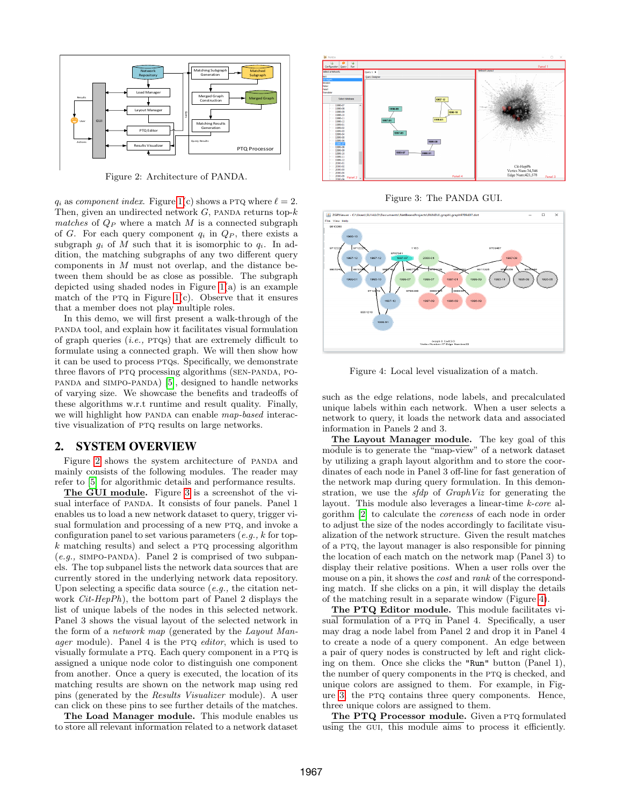<span id="page-1-0"></span>

Figure 2: Architecture of PANDA.

 $q_i$  as component index. Figure [1\(](#page-0-0)c) shows a PTQ where  $\ell = 2$ . Then, given an undirected network  $G$ , panda returns top- $k$ matches of  $Q_P$  where a match M is a connected subgraph of G. For each query component  $q_i$  in  $Q_P$ , there exists a subgraph  $q_i$  of M such that it is isomorphic to  $q_i$ . In addition, the matching subgraphs of any two different query components in  $M$  must not overlap, and the distance between them should be as close as possible. The subgraph depicted using shaded nodes in Figure [1\(](#page-0-0)a) is an example match of the PTQ in Figure [1\(](#page-0-0)c). Observe that it ensures that a member does not play multiple roles.

In this demo, we will first present a walk-through of the panda tool, and explain how it facilitates visual formulation of graph queries  $(i.e., PTSs)$  that are extremely difficult to formulate using a connected graph. We will then show how it can be used to process ptqs. Specifically, we demonstrate three flavors of PTQ processing algorithms (SEN-PANDA, POpanda and simpo-panda) [\[5\]](#page-3-1), designed to handle networks of varying size. We showcase the benefits and tradeoffs of these algorithms w.r.t runtime and result quality. Finally, we will highlight how PANDA can enable map-based interactive visualization of PTQ results on large networks.

#### 2. SYSTEM OVERVIEW

Figure [2](#page-1-0) shows the system architecture of PANDA and mainly consists of the following modules. The reader may refer to [\[5\]](#page-3-1) for algorithmic details and performance results.

The GUI module. Figure [3](#page-1-1) is a screenshot of the visual interface of panda. It consists of four panels. Panel 1 enables us to load a new network dataset to query, trigger visual formulation and processing of a new PTQ, and invoke a configuration panel to set various parameters  $(e.g., k$  for top $k$  matching results) and select a PTQ processing algorithm  $(e.g., SIMPO-PANDA)$ . Panel 2 is comprised of two subpanels. The top subpanel lists the network data sources that are currently stored in the underlying network data repository. Upon selecting a specific data source  $(e.g., the citation net$ work Cit-HepPh), the bottom part of Panel 2 displays the list of unique labels of the nodes in this selected network. Panel 3 shows the visual layout of the selected network in the form of a network map (generated by the Layout Manager module). Panel 4 is the PTQ editor, which is used to visually formulate a ptq. Each query component in a ptq is assigned a unique node color to distinguish one component from another. Once a query is executed, the location of its matching results are shown on the network map using red pins (generated by the Results Visualizer module). A user can click on these pins to see further details of the matches.

The Load Manager module. This module enables us to store all relevant information related to a network dataset

<span id="page-1-1"></span>

Figure 3: The PANDA GUI.

<span id="page-1-2"></span>

Figure 4: Local level visualization of a match.

such as the edge relations, node labels, and precalculated unique labels within each network. When a user selects a network to query, it loads the network data and associated information in Panels 2 and 3.

The Layout Manager module. The key goal of this module is to generate the "map-view" of a network dataset by utilizing a graph layout algorithm and to store the coordinates of each node in Panel 3 off-line for fast generation of the network map during query formulation. In this demonstration, we use the sfdp of GraphViz for generating the layout. This module also leverages a linear-time k-core algorithm [\[2\]](#page-3-2) to calculate the coreness of each node in order to adjust the size of the nodes accordingly to facilitate visualization of the network structure. Given the result matches of a ptq, the layout manager is also responsible for pinning the location of each match on the network map (Panel 3) to display their relative positions. When a user rolls over the mouse on a pin, it shows the *cost* and *rank* of the corresponding match. If she clicks on a pin, it will display the details of the matching result in a separate window (Figure [4\)](#page-1-2).

The PTQ Editor module. This module facilitates visual formulation of a PTQ in Panel 4. Specifically, a user may drag a node label from Panel 2 and drop it in Panel 4 to create a node of a query component. An edge between a pair of query nodes is constructed by left and right clicking on them. Once she clicks the "Run" button (Panel 1), the number of query components in the PTQ is checked, and unique colors are assigned to them. For example, in Figure [3,](#page-1-1) the ptq contains three query components. Hence, three unique colors are assigned to them.

The PTQ Processor module. Given a PTQ formulated using the gui, this module aims to process it efficiently.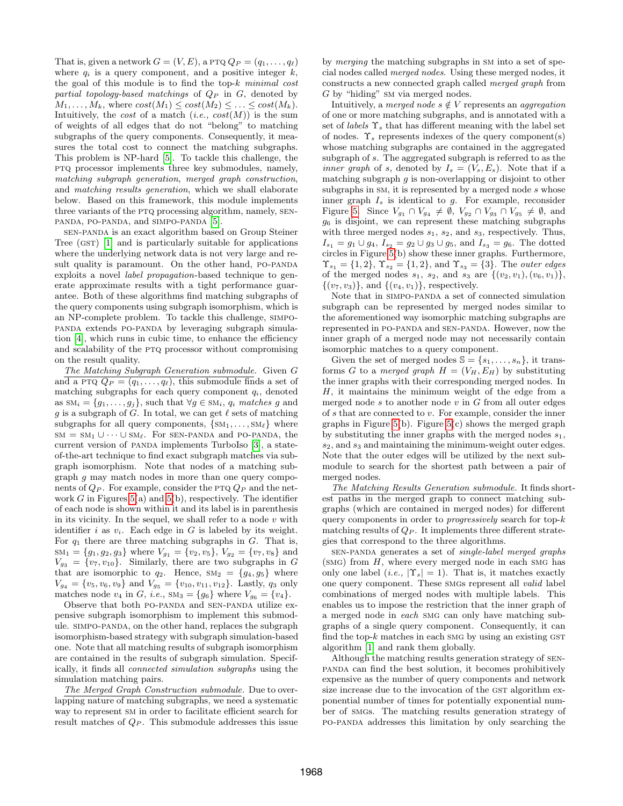That is, given a network  $G = (V, E)$ , a PTQ  $Q_P = (q_1, \ldots, q_\ell)$ where  $q_i$  is a query component, and a positive integer  $k$ , the goal of this module is to find the top- $k$  minimal cost partial topology-based matchings of  $Q_P$  in  $G$ , denoted by  $M_1, \ldots, M_k$ , where  $cost(M_1) \leq cost(M_2) \leq \ldots \leq cost(M_k)$ . Intuitively, the *cost* of a match  $(i.e., cost(M))$  is the sum of weights of all edges that do not "belong" to matching subgraphs of the query components. Consequently, it measures the total cost to connect the matching subgraphs. This problem is NP-hard [\[5\]](#page-3-1). To tackle this challenge, the ptq processor implements three key submodules, namely, matching subgraph generation, merged graph construction, and matching results generation, which we shall elaborate below. Based on this framework, this module implements three variants of the PTQ processing algorithm, namely, SENpanda, po-panda, and simpo-panda [\[5\]](#page-3-1).

sen-panda is an exact algorithm based on Group Steiner Tree  $(GST)$  [\[1\]](#page-3-3) and is particularly suitable for applications where the underlying network data is not very large and result quality is paramount. On the other hand, PO-PANDA exploits a novel label propagation-based technique to generate approximate results with a tight performance guarantee. Both of these algorithms find matching subgraphs of the query components using subgraph isomorphism, which is an NP-complete problem. To tackle this challenge, simpopanda extends po-panda by leveraging subgraph simulation [\[4\]](#page-3-4), which runs in cubic time, to enhance the efficiency and scalability of the PTQ processor without compromising on the result quality.

The Matching Subgraph Generation submodule. Given G and a PTQ  $Q_P = (q_1, \ldots, q_\ell)$ , this submodule finds a set of matching subgraphs for each query component  $q_i$ , denoted as  $\mathrm{SM}_i = \{g_1, \ldots, g_j\}$ , such that  $\forall g \in \mathrm{SM}_i$ ,  $q_i$  matches g and g is a subgraph of G. In total, we can get  $\ell$  sets of matching subgraphs for all query components,  $\{SM_1, \ldots, SM_\ell\}$  where  $sm = sm_1 \cup \cdots \cup sm_\ell$ . For SEN-PANDA and PO-PANDA, the current version of panda implements TurboIso [\[3\]](#page-3-0), a stateof-the-art technique to find exact subgraph matches via subgraph isomorphism. Note that nodes of a matching subgraph g may match nodes in more than one query components of  $Q_P$ . For example, consider the PTQ  $Q_P$  and the network  $G$  in Figures [5\(](#page-3-5)a) and 5(b), respectively. The identifier of each node is shown within it and its label is in parenthesis in its vicinity. In the sequel, we shall refer to a node  $v$  with identifier i as  $v_i$ . Each edge in G is labeled by its weight. For  $q_1$  there are three matching subgraphs in  $G$ . That is,  $sm_1 = \{g_1, g_2, g_3\}$  where  $V_{g_1} = \{v_2, v_5\}$ ,  $V_{g_2} = \{v_7, v_8\}$  and  $V_{g_3} = \{v_7, v_{10}\}.$  Similarly, there are two subgraphs in G that are isomorphic to  $q_2$ . Hence,  $SM_2 = \{g_4, g_5\}$  where  $V_{g_4} = \{v_5, v_6, v_9\}$  and  $V_{g_5} = \{v_{10}, v_{11}, v_{12}\}.$  Lastly,  $q_3$  only matches node  $v_4$  in G, i.e.,  $\text{SM}_3 = \{g_6\}$  where  $V_{g_6} = \{v_4\}.$ 

Observe that both po-panda and sen-panda utilize expensive subgraph isomorphism to implement this submodule. simpo-panda, on the other hand, replaces the subgraph isomorphism-based strategy with subgraph simulation-based one. Note that all matching results of subgraph isomorphism are contained in the results of subgraph simulation. Specifically, it finds all connected simulation subgraphs using the simulation matching pairs.

The Merged Graph Construction submodule. Due to overlapping nature of matching subgraphs, we need a systematic way to represent sm in order to facilitate efficient search for result matches of  $Q_P$ . This submodule addresses this issue by merging the matching subgraphs in sm into a set of special nodes called merged nodes. Using these merged nodes, it constructs a new connected graph called merged graph from G by "hiding" sm via merged nodes.

Intuitively, a merged node  $s \notin V$  represents an aggregation of one or more matching subgraphs, and is annotated with a set of labels  $\Upsilon_s$  that has different meaning with the label set of nodes.  $\Upsilon_s$  represents indexes of the query component(s) whose matching subgraphs are contained in the aggregated subgraph of s. The aggregated subgraph is referred to as the *inner graph* of s, denoted by  $I_s = (V_s, E_s)$ . Note that if a matching subgraph  $g$  is non-overlapping or disjoint to other subgraphs in  $SM$ , it is represented by a merged node  $s$  whose inner graph  $I_s$  is identical to  $g$ . For example, reconsider Figure [5.](#page-3-5) Since  $V_{g_1} \cap V_{g_4} \neq \emptyset$ ,  $V_{g_2} \cap V_{g_3} \cap V_{g_5} \neq \emptyset$ , and  $g_6$  is disjoint, we can represent these matching subgraphs with three merged nodes  $s_1$ ,  $s_2$ , and  $s_3$ , respectively. Thus,  $I_{s_1} = g_1 \cup g_4$ ,  $I_{s_2} = g_2 \cup g_3 \cup g_5$ , and  $I_{s_3} = g_6$ . The dotted circles in Figure [5\(](#page-3-5)b) show these inner graphs. Furthermore,  $\Upsilon_{s_1} = \{1, 2\}, \Upsilon_{s_2} = \{1, 2\}, \text{ and } \Upsilon_{s_3} = \{3\}. \text{ The outer edges}$ of the merged nodes  $s_1, s_2,$  and  $s_3$  are  $\{(v_2, v_1), (v_6, v_1)\},$  $\{(v_7, v_3)\},$  and  $\{(v_4, v_1)\},$  respectively.

Note that in simpo-panda a set of connected simulation subgraph can be represented by merged nodes similar to the aforementioned way isomorphic matching subgraphs are represented in po-panda and sen-panda. However, now the inner graph of a merged node may not necessarily contain isomorphic matches to a query component.

Given the set of merged nodes  $\mathcal{S} = \{s_1, \ldots, s_n\}$ , it transforms G to a merged graph  $H = (V_H, E_H)$  by substituting the inner graphs with their corresponding merged nodes. In  $H$ , it maintains the minimum weight of the edge from a merged node  $s$  to another node  $v$  in  $G$  from all outer edges of  $s$  that are connected to  $v$ . For example, consider the inner graphs in Figure  $5(b)$ . Figure  $5(c)$  shows the merged graph by substituting the inner graphs with the merged nodes  $s_1$ ,  $s_2$ , and  $s_3$  and maintaining the minimum-weight outer edges. Note that the outer edges will be utilized by the next submodule to search for the shortest path between a pair of merged nodes.

The Matching Results Generation submodule. It finds shortest paths in the merged graph to connect matching subgraphs (which are contained in merged nodes) for different query components in order to progressively search for top-k matching results of  $Q_P$ . It implements three different strategies that correspond to the three algorithms.

sen-panda generates a set of single-label merged graphs  $(SMG)$  from  $H$ , where every merged node in each SMG has only one label (*i.e.*,  $|\Upsilon_s| = 1$ ). That is, it matches exactly one query component. These SMGs represent all *valid* label combinations of merged nodes with multiple labels. This enables us to impose the restriction that the inner graph of a merged node in each smg can only have matching subgraphs of a single query component. Consequently, it can find the top- $k$  matches in each smg by using an existing  $GST$ algorithm [\[1\]](#page-3-3) and rank them globally.

Although the matching results generation strategy of senpanda can find the best solution, it becomes prohibitively expensive as the number of query components and network size increase due to the invocation of the GST algorithm exponential number of times for potentially exponential number of smgs. The matching results generation strategy of po-panda addresses this limitation by only searching the